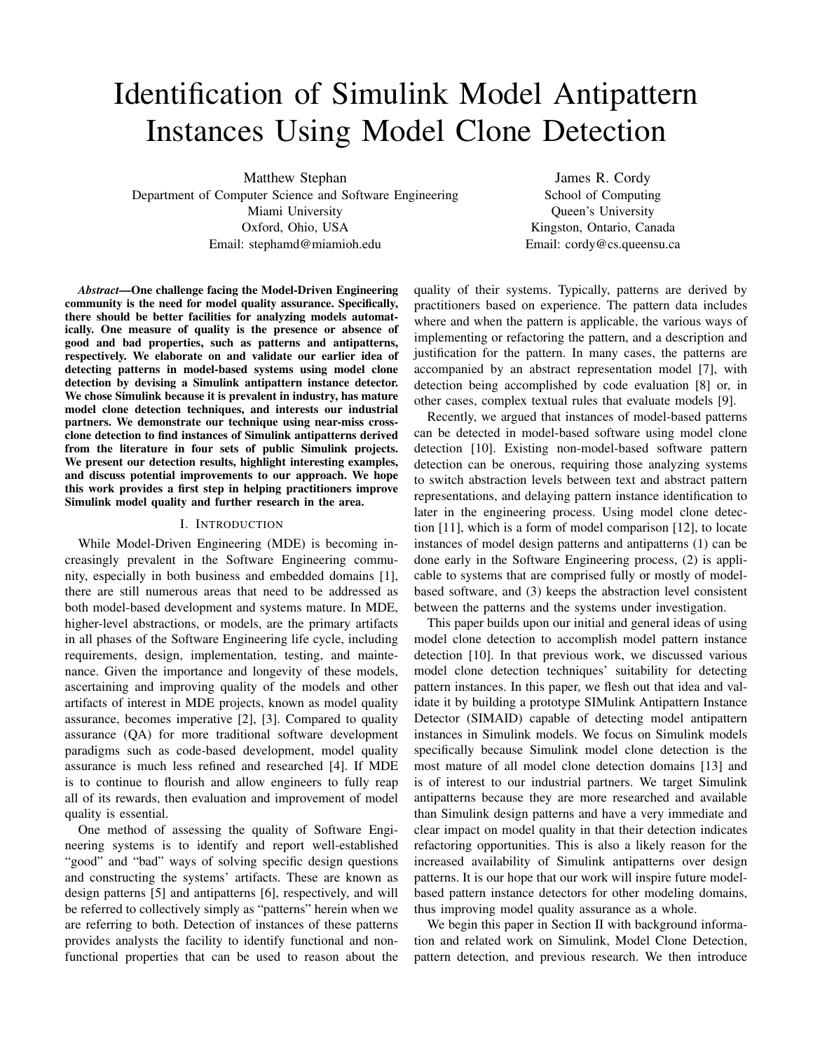# Identification of Simulink Model Antipattern Instances Using Model Clone Detection

Matthew Stephan

Department of Computer Science and Software Engineering Miami University Oxford, Ohio, USA Email: stephamd@miamioh.edu

James R. Cordy School of Computing Queen's University Kingston, Ontario, Canada Email: cordy@cs.queensu.ca

*Abstract*—One challenge facing the Model-Driven Engineering community is the need for model quality assurance. Specifically, there should be better facilities for analyzing models automatically. One measure of quality is the presence or absence of good and bad properties, such as patterns and antipatterns, respectively. We elaborate on and validate our earlier idea of detecting patterns in model-based systems using model clone detection by devising a Simulink antipattern instance detector. We chose Simulink because it is prevalent in industry, has mature model clone detection techniques, and interests our industrial partners. We demonstrate our technique using near-miss crossclone detection to find instances of Simulink antipatterns derived from the literature in four sets of public Simulink projects. We present our detection results, highlight interesting examples, and discuss potential improvements to our approach. We hope this work provides a first step in helping practitioners improve Simulink model quality and further research in the area.

#### I. INTRODUCTION

While Model-Driven Engineering (MDE) is becoming increasingly prevalent in the Software Engineering community, especially in both business and embedded domains [1], there are still numerous areas that need to be addressed as both model-based development and systems mature. In MDE, higher-level abstractions, or models, are the primary artifacts in all phases of the Software Engineering life cycle, including requirements, design, implementation, testing, and maintenance. Given the importance and longevity of these models, ascertaining and improving quality of the models and other artifacts of interest in MDE projects, known as model quality assurance, becomes imperative [2], [3]. Compared to quality assurance (QA) for more traditional software development paradigms such as code-based development, model quality assurance is much less refined and researched [4]. If MDE is to continue to flourish and allow engineers to fully reap all of its rewards, then evaluation and improvement of model quality is essential.

One method of assessing the quality of Software Engineering systems is to identify and report well-established "good" and "bad" ways of solving specific design questions and constructing the systems' artifacts. These are known as design patterns [5] and antipatterns [6], respectively, and will be referred to collectively simply as "patterns" herein when we are referring to both. Detection of instances of these patterns provides analysts the facility to identify functional and nonfunctional properties that can be used to reason about the

quality of their systems. Typically, patterns are derived by practitioners based on experience. The pattern data includes where and when the pattern is applicable, the various ways of implementing or refactoring the pattern, and a description and justification for the pattern. In many cases, the patterns are accompanied by an abstract representation model [7], with detection being accomplished by code evaluation [8] or, in other cases, complex textual rules that evaluate models [9].

Recently, we argued that instances of model-based patterns can be detected in model-based software using model clone detection [10]. Existing non-model-based software pattern detection can be onerous, requiring those analyzing systems to switch abstraction levels between text and abstract pattern representations, and delaying pattern instance identification to later in the engineering process. Using model clone detection [11], which is a form of model comparison [12], to locate instances of model design patterns and antipatterns (1) can be done early in the Software Engineering process, (2) is applicable to systems that are comprised fully or mostly of modelbased software, and (3) keeps the abstraction level consistent between the patterns and the systems under investigation.

This paper builds upon our initial and general ideas of using model clone detection to accomplish model pattern instance detection [10]. In that previous work, we discussed various model clone detection techniques' suitability for detecting pattern instances. In this paper, we flesh out that idea and validate it by building a prototype SIMulink Antipattern Instance Detector (SIMAID) capable of detecting model antipattern instances in Simulink models. We focus on Simulink models specifically because Simulink model clone detection is the most mature of all model clone detection domains [13] and is of interest to our industrial partners. We target Simulink antipatterns because they are more researched and available than Simulink design patterns and have a very immediate and clear impact on model quality in that their detection indicates refactoring opportunities. This is also a likely reason for the increased availability of Simulink antipatterns over design patterns. It is our hope that our work will inspire future modelbased pattern instance detectors for other modeling domains, thus improving model quality assurance as a whole.

We begin this paper in Section II with background information and related work on Simulink, Model Clone Detection, pattern detection, and previous research. We then introduce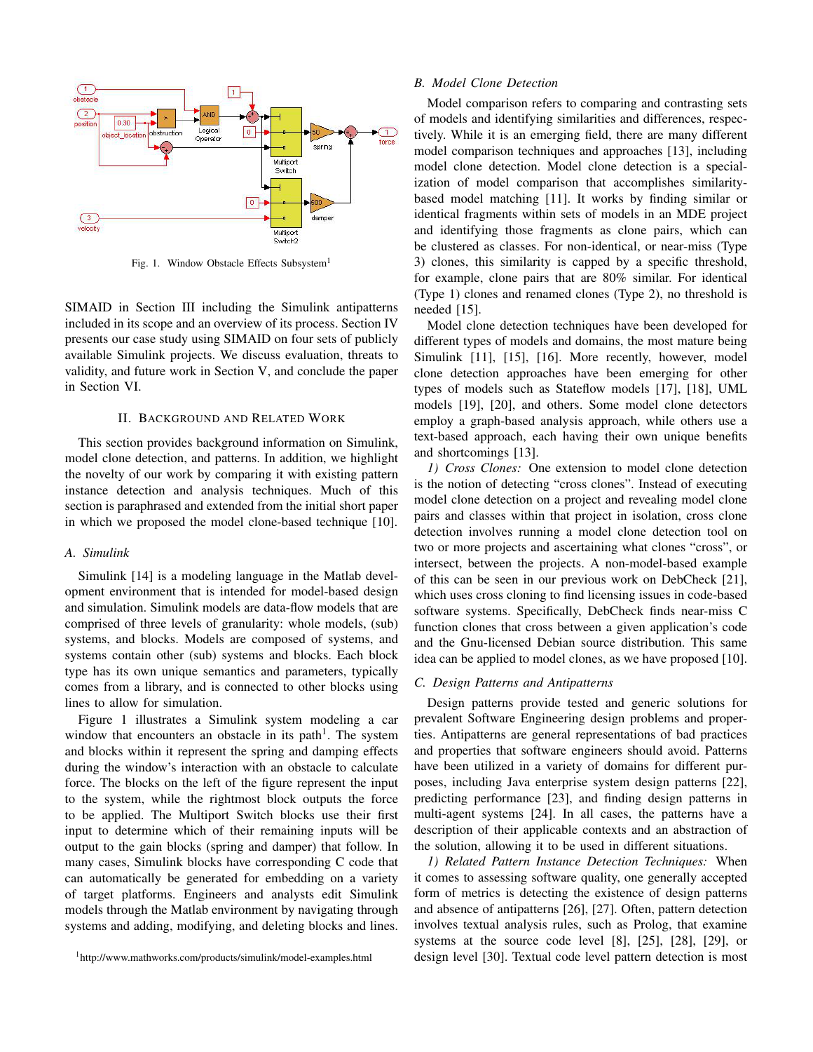

Fig. 1. Window Obstacle Effects Subsystem<sup>1</sup>

SIMAID in Section III including the Simulink antipatterns included in its scope and an overview of its process. Section IV presents our case study using SIMAID on four sets of publicly available Simulink projects. We discuss evaluation, threats to validity, and future work in Section V, and conclude the paper in Section VI.

# II. BACKGROUND AND RELATED WORK

This section provides background information on Simulink, model clone detection, and patterns. In addition, we highlight the novelty of our work by comparing it with existing pattern instance detection and analysis techniques. Much of this section is paraphrased and extended from the initial short paper in which we proposed the model clone-based technique [10].

# *A. Simulink*

Simulink [14] is a modeling language in the Matlab development environment that is intended for model-based design and simulation. Simulink models are data-flow models that are comprised of three levels of granularity: whole models, (sub) systems, and blocks. Models are composed of systems, and systems contain other (sub) systems and blocks. Each block type has its own unique semantics and parameters, typically comes from a library, and is connected to other blocks using lines to allow for simulation.

Figure 1 illustrates a Simulink system modeling a car window that encounters an obstacle in its path<sup>1</sup>. The system and blocks within it represent the spring and damping effects during the window's interaction with an obstacle to calculate force. The blocks on the left of the figure represent the input to the system, while the rightmost block outputs the force to be applied. The Multiport Switch blocks use their first input to determine which of their remaining inputs will be output to the gain blocks (spring and damper) that follow. In many cases, Simulink blocks have corresponding C code that can automatically be generated for embedding on a variety of target platforms. Engineers and analysts edit Simulink models through the Matlab environment by navigating through systems and adding, modifying, and deleting blocks and lines.

#### *B. Model Clone Detection*

Model comparison refers to comparing and contrasting sets of models and identifying similarities and differences, respectively. While it is an emerging field, there are many different model comparison techniques and approaches [13], including model clone detection. Model clone detection is a specialization of model comparison that accomplishes similaritybased model matching [11]. It works by finding similar or identical fragments within sets of models in an MDE project and identifying those fragments as clone pairs, which can be clustered as classes. For non-identical, or near-miss (Type 3) clones, this similarity is capped by a specific threshold, for example, clone pairs that are 80% similar. For identical (Type 1) clones and renamed clones (Type 2), no threshold is needed [15].

Model clone detection techniques have been developed for different types of models and domains, the most mature being Simulink [11], [15], [16]. More recently, however, model clone detection approaches have been emerging for other types of models such as Stateflow models [17], [18], UML models [19], [20], and others. Some model clone detectors employ a graph-based analysis approach, while others use a text-based approach, each having their own unique benefits and shortcomings [13].

*1) Cross Clones:* One extension to model clone detection is the notion of detecting "cross clones". Instead of executing model clone detection on a project and revealing model clone pairs and classes within that project in isolation, cross clone detection involves running a model clone detection tool on two or more projects and ascertaining what clones "cross", or intersect, between the projects. A non-model-based example of this can be seen in our previous work on DebCheck [21], which uses cross cloning to find licensing issues in code-based software systems. Specifically, DebCheck finds near-miss C function clones that cross between a given application's code and the Gnu-licensed Debian source distribution. This same idea can be applied to model clones, as we have proposed [10].

## *C. Design Patterns and Antipatterns*

Design patterns provide tested and generic solutions for prevalent Software Engineering design problems and properties. Antipatterns are general representations of bad practices and properties that software engineers should avoid. Patterns have been utilized in a variety of domains for different purposes, including Java enterprise system design patterns [22], predicting performance [23], and finding design patterns in multi-agent systems [24]. In all cases, the patterns have a description of their applicable contexts and an abstraction of the solution, allowing it to be used in different situations.

*1) Related Pattern Instance Detection Techniques:* When it comes to assessing software quality, one generally accepted form of metrics is detecting the existence of design patterns and absence of antipatterns [26], [27]. Often, pattern detection involves textual analysis rules, such as Prolog, that examine systems at the source code level [8], [25], [28], [29], or design level [30]. Textual code level pattern detection is most

<sup>1</sup>http://www.mathworks.com/products/simulink/model-examples.html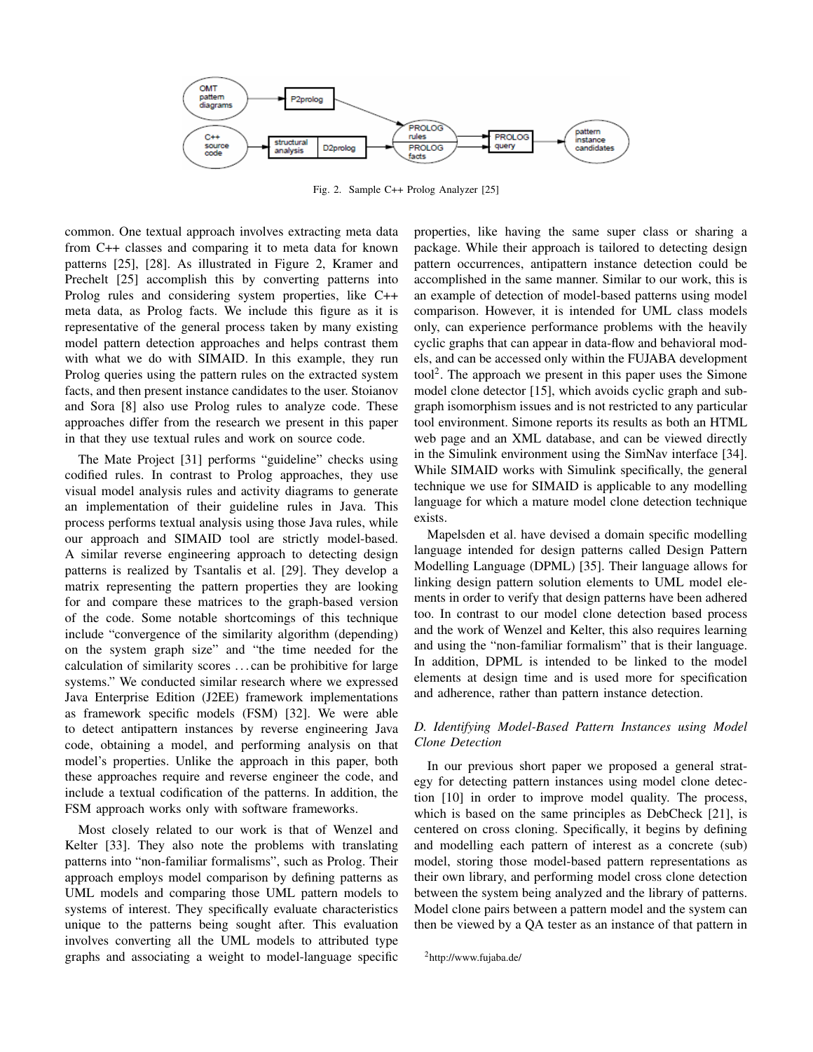

Fig. 2. Sample C++ Prolog Analyzer [25]

common. One textual approach involves extracting meta data from C++ classes and comparing it to meta data for known patterns [25], [28]. As illustrated in Figure 2, Kramer and Prechelt [25] accomplish this by converting patterns into Prolog rules and considering system properties, like C++ meta data, as Prolog facts. We include this figure as it is representative of the general process taken by many existing model pattern detection approaches and helps contrast them with what we do with SIMAID. In this example, they run Prolog queries using the pattern rules on the extracted system facts, and then present instance candidates to the user. Stoianov and Sora [8] also use Prolog rules to analyze code. These approaches differ from the research we present in this paper in that they use textual rules and work on source code.

The Mate Project [31] performs "guideline" checks using codified rules. In contrast to Prolog approaches, they use visual model analysis rules and activity diagrams to generate an implementation of their guideline rules in Java. This process performs textual analysis using those Java rules, while our approach and SIMAID tool are strictly model-based. A similar reverse engineering approach to detecting design patterns is realized by Tsantalis et al. [29]. They develop a matrix representing the pattern properties they are looking for and compare these matrices to the graph-based version of the code. Some notable shortcomings of this technique include "convergence of the similarity algorithm (depending) on the system graph size" and "the time needed for the calculation of similarity scores . . . can be prohibitive for large systems." We conducted similar research where we expressed Java Enterprise Edition (J2EE) framework implementations as framework specific models (FSM) [32]. We were able to detect antipattern instances by reverse engineering Java code, obtaining a model, and performing analysis on that model's properties. Unlike the approach in this paper, both these approaches require and reverse engineer the code, and include a textual codification of the patterns. In addition, the FSM approach works only with software frameworks.

Most closely related to our work is that of Wenzel and Kelter [33]. They also note the problems with translating patterns into "non-familiar formalisms", such as Prolog. Their approach employs model comparison by defining patterns as UML models and comparing those UML pattern models to systems of interest. They specifically evaluate characteristics unique to the patterns being sought after. This evaluation involves converting all the UML models to attributed type graphs and associating a weight to model-language specific properties, like having the same super class or sharing a package. While their approach is tailored to detecting design pattern occurrences, antipattern instance detection could be accomplished in the same manner. Similar to our work, this is an example of detection of model-based patterns using model comparison. However, it is intended for UML class models only, can experience performance problems with the heavily cyclic graphs that can appear in data-flow and behavioral models, and can be accessed only within the FUJABA development tool<sup>2</sup>. The approach we present in this paper uses the Simone model clone detector [15], which avoids cyclic graph and subgraph isomorphism issues and is not restricted to any particular tool environment. Simone reports its results as both an HTML web page and an XML database, and can be viewed directly in the Simulink environment using the SimNav interface [34]. While SIMAID works with Simulink specifically, the general technique we use for SIMAID is applicable to any modelling language for which a mature model clone detection technique exists.

Mapelsden et al. have devised a domain specific modelling language intended for design patterns called Design Pattern Modelling Language (DPML) [35]. Their language allows for linking design pattern solution elements to UML model elements in order to verify that design patterns have been adhered too. In contrast to our model clone detection based process and the work of Wenzel and Kelter, this also requires learning and using the "non-familiar formalism" that is their language. In addition, DPML is intended to be linked to the model elements at design time and is used more for specification and adherence, rather than pattern instance detection.

# *D. Identifying Model-Based Pattern Instances using Model Clone Detection*

In our previous short paper we proposed a general strategy for detecting pattern instances using model clone detection [10] in order to improve model quality. The process, which is based on the same principles as DebCheck [21], is centered on cross cloning. Specifically, it begins by defining and modelling each pattern of interest as a concrete (sub) model, storing those model-based pattern representations as their own library, and performing model cross clone detection between the system being analyzed and the library of patterns. Model clone pairs between a pattern model and the system can then be viewed by a QA tester as an instance of that pattern in

<sup>2</sup>http://www.fujaba.de/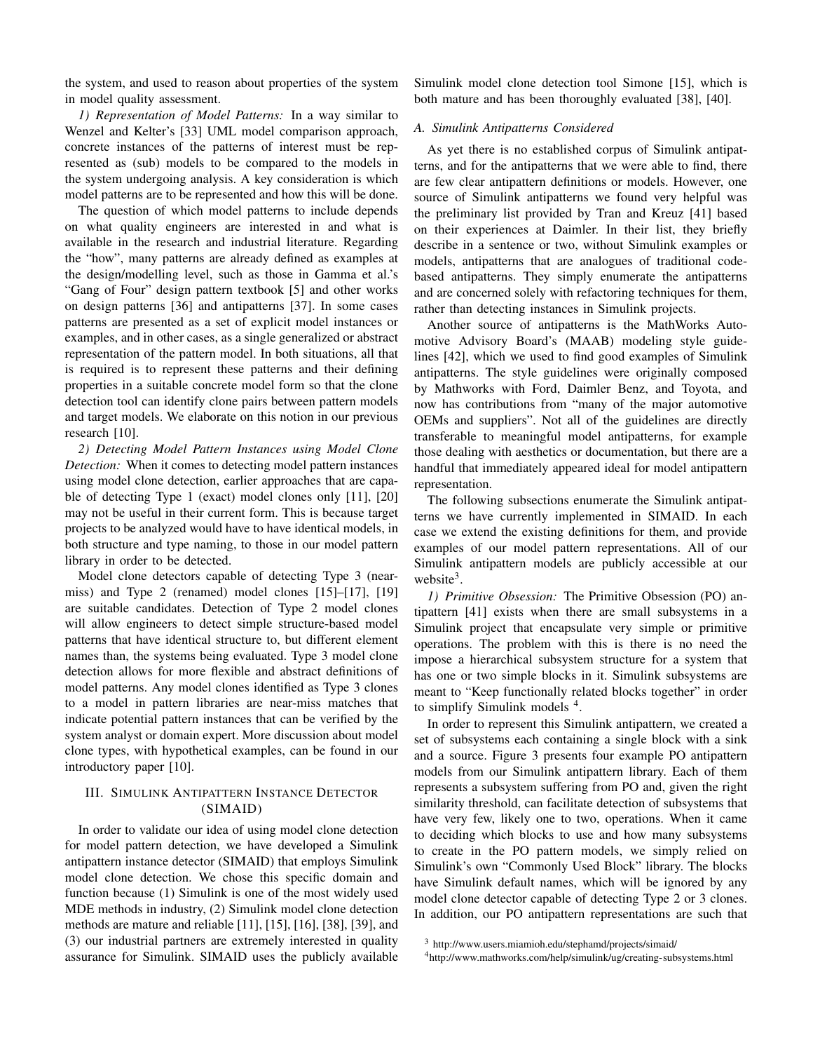the system, and used to reason about properties of the system in model quality assessment.

*1) Representation of Model Patterns:* In a way similar to Wenzel and Kelter's [33] UML model comparison approach, concrete instances of the patterns of interest must be represented as (sub) models to be compared to the models in the system undergoing analysis. A key consideration is which model patterns are to be represented and how this will be done.

The question of which model patterns to include depends on what quality engineers are interested in and what is available in the research and industrial literature. Regarding the "how", many patterns are already defined as examples at the design/modelling level, such as those in Gamma et al.'s "Gang of Four" design pattern textbook [5] and other works on design patterns [36] and antipatterns [37]. In some cases patterns are presented as a set of explicit model instances or examples, and in other cases, as a single generalized or abstract representation of the pattern model. In both situations, all that is required is to represent these patterns and their defining properties in a suitable concrete model form so that the clone detection tool can identify clone pairs between pattern models and target models. We elaborate on this notion in our previous research [10].

*2) Detecting Model Pattern Instances using Model Clone Detection:* When it comes to detecting model pattern instances using model clone detection, earlier approaches that are capable of detecting Type 1 (exact) model clones only [11], [20] may not be useful in their current form. This is because target projects to be analyzed would have to have identical models, in both structure and type naming, to those in our model pattern library in order to be detected.

Model clone detectors capable of detecting Type 3 (nearmiss) and Type 2 (renamed) model clones [15]–[17], [19] are suitable candidates. Detection of Type 2 model clones will allow engineers to detect simple structure-based model patterns that have identical structure to, but different element names than, the systems being evaluated. Type 3 model clone detection allows for more flexible and abstract definitions of model patterns. Any model clones identified as Type 3 clones to a model in pattern libraries are near-miss matches that indicate potential pattern instances that can be verified by the system analyst or domain expert. More discussion about model clone types, with hypothetical examples, can be found in our introductory paper [10].

# III. SIMULINK ANTIPATTERN INSTANCE DETECTOR (SIMAID)

In order to validate our idea of using model clone detection for model pattern detection, we have developed a Simulink antipattern instance detector (SIMAID) that employs Simulink model clone detection. We chose this specific domain and function because (1) Simulink is one of the most widely used MDE methods in industry, (2) Simulink model clone detection methods are mature and reliable [11], [15], [16], [38], [39], and (3) our industrial partners are extremely interested in quality assurance for Simulink. SIMAID uses the publicly available Simulink model clone detection tool Simone [15], which is both mature and has been thoroughly evaluated [38], [40].

# *A. Simulink Antipatterns Considered*

As yet there is no established corpus of Simulink antipatterns, and for the antipatterns that we were able to find, there are few clear antipattern definitions or models. However, one source of Simulink antipatterns we found very helpful was the preliminary list provided by Tran and Kreuz [41] based on their experiences at Daimler. In their list, they briefly describe in a sentence or two, without Simulink examples or models, antipatterns that are analogues of traditional codebased antipatterns. They simply enumerate the antipatterns and are concerned solely with refactoring techniques for them, rather than detecting instances in Simulink projects.

Another source of antipatterns is the MathWorks Automotive Advisory Board's (MAAB) modeling style guidelines [42], which we used to find good examples of Simulink antipatterns. The style guidelines were originally composed by Mathworks with Ford, Daimler Benz, and Toyota, and now has contributions from "many of the major automotive OEMs and suppliers". Not all of the guidelines are directly transferable to meaningful model antipatterns, for example those dealing with aesthetics or documentation, but there are a handful that immediately appeared ideal for model antipattern representation.

The following subsections enumerate the Simulink antipatterns we have currently implemented in SIMAID. In each case we extend the existing definitions for them, and provide examples of our model pattern representations. All of our Simulink antipattern models are publicly accessible at our website<sup>3</sup>.

*1) Primitive Obsession:* The Primitive Obsession (PO) antipattern [41] exists when there are small subsystems in a Simulink project that encapsulate very simple or primitive operations. The problem with this is there is no need the impose a hierarchical subsystem structure for a system that has one or two simple blocks in it. Simulink subsystems are meant to "Keep functionally related blocks together" in order to simplify Simulink models <sup>4</sup>.

In order to represent this Simulink antipattern, we created a set of subsystems each containing a single block with a sink and a source. Figure 3 presents four example PO antipattern models from our Simulink antipattern library. Each of them represents a subsystem suffering from PO and, given the right similarity threshold, can facilitate detection of subsystems that have very few, likely one to two, operations. When it came to deciding which blocks to use and how many subsystems to create in the PO pattern models, we simply relied on Simulink's own "Commonly Used Block" library. The blocks have Simulink default names, which will be ignored by any model clone detector capable of detecting Type 2 or 3 clones. In addition, our PO antipattern representations are such that

<sup>3</sup> http://www.users.miamioh.edu/stephamd/projects/simaid/

<sup>4</sup>http://www.mathworks.com/help/simulink/ug/creating-subsystems.html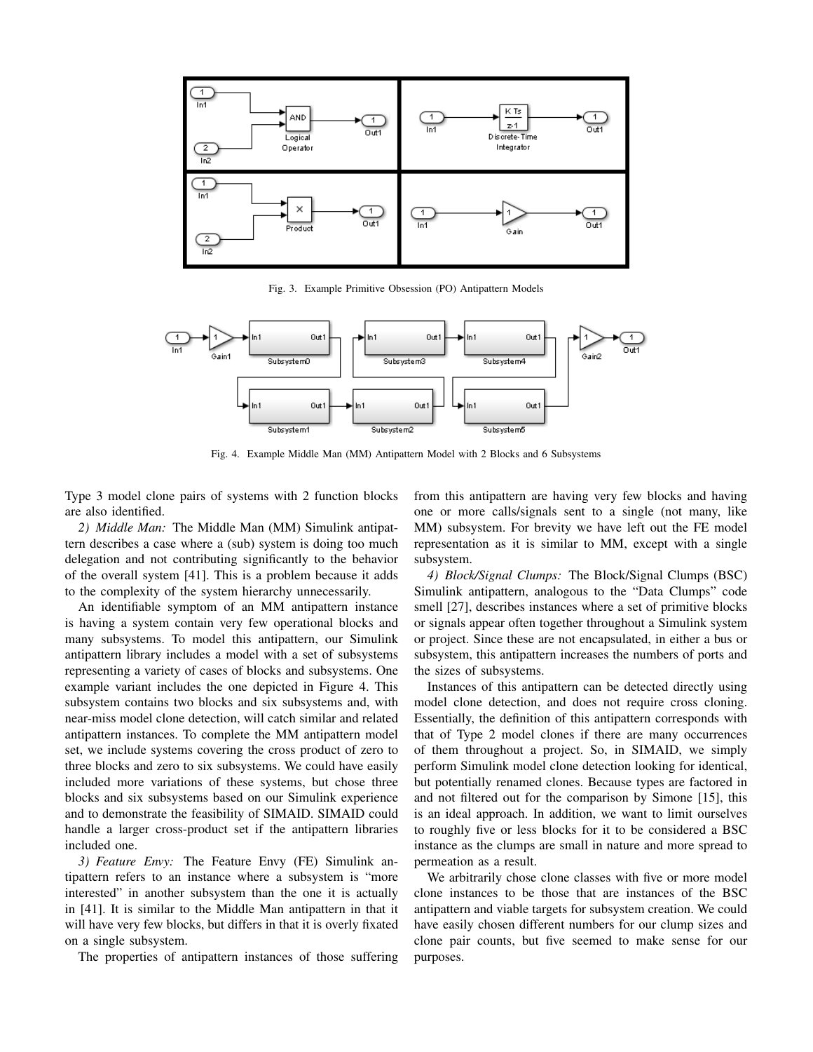

Fig. 3. Example Primitive Obsession (PO) Antipattern Models



Fig. 4. Example Middle Man (MM) Antipattern Model with 2 Blocks and 6 Subsystems

Type 3 model clone pairs of systems with 2 function blocks are also identified.

*2) Middle Man:* The Middle Man (MM) Simulink antipattern describes a case where a (sub) system is doing too much delegation and not contributing significantly to the behavior of the overall system [41]. This is a problem because it adds to the complexity of the system hierarchy unnecessarily.

An identifiable symptom of an MM antipattern instance is having a system contain very few operational blocks and many subsystems. To model this antipattern, our Simulink antipattern library includes a model with a set of subsystems representing a variety of cases of blocks and subsystems. One example variant includes the one depicted in Figure 4. This subsystem contains two blocks and six subsystems and, with near-miss model clone detection, will catch similar and related antipattern instances. To complete the MM antipattern model set, we include systems covering the cross product of zero to three blocks and zero to six subsystems. We could have easily included more variations of these systems, but chose three blocks and six subsystems based on our Simulink experience and to demonstrate the feasibility of SIMAID. SIMAID could handle a larger cross-product set if the antipattern libraries included one.

*3) Feature Envy:* The Feature Envy (FE) Simulink antipattern refers to an instance where a subsystem is "more interested" in another subsystem than the one it is actually in [41]. It is similar to the Middle Man antipattern in that it will have very few blocks, but differs in that it is overly fixated on a single subsystem.

The properties of antipattern instances of those suffering

from this antipattern are having very few blocks and having one or more calls/signals sent to a single (not many, like MM) subsystem. For brevity we have left out the FE model representation as it is similar to MM, except with a single subsystem.

*4) Block/Signal Clumps:* The Block/Signal Clumps (BSC) Simulink antipattern, analogous to the "Data Clumps" code smell [27], describes instances where a set of primitive blocks or signals appear often together throughout a Simulink system or project. Since these are not encapsulated, in either a bus or subsystem, this antipattern increases the numbers of ports and the sizes of subsystems.

Instances of this antipattern can be detected directly using model clone detection, and does not require cross cloning. Essentially, the definition of this antipattern corresponds with that of Type 2 model clones if there are many occurrences of them throughout a project. So, in SIMAID, we simply perform Simulink model clone detection looking for identical, but potentially renamed clones. Because types are factored in and not filtered out for the comparison by Simone [15], this is an ideal approach. In addition, we want to limit ourselves to roughly five or less blocks for it to be considered a BSC instance as the clumps are small in nature and more spread to permeation as a result.

We arbitrarily chose clone classes with five or more model clone instances to be those that are instances of the BSC antipattern and viable targets for subsystem creation. We could have easily chosen different numbers for our clump sizes and clone pair counts, but five seemed to make sense for our purposes.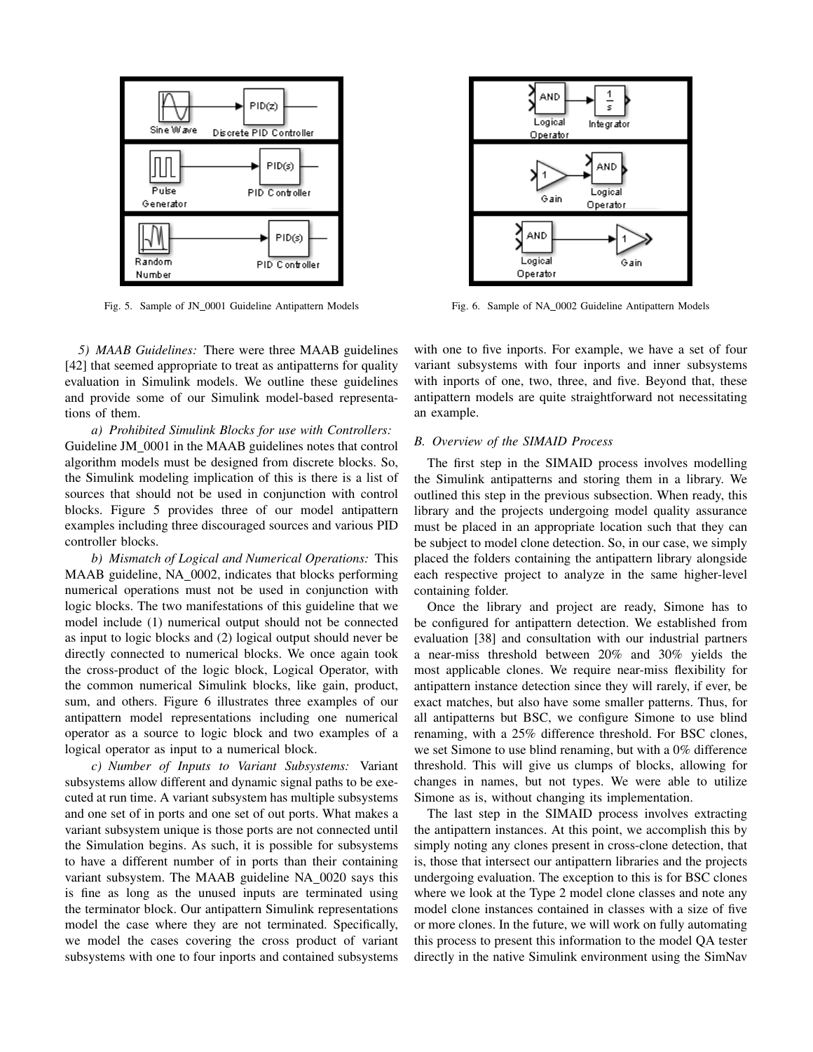

Fig. 5. Sample of JN 0001 Guideline Antipattern Models

*5) MAAB Guidelines:* There were three MAAB guidelines [42] that seemed appropriate to treat as antipatterns for quality evaluation in Simulink models. We outline these guidelines and provide some of our Simulink model-based representations of them.

*a) Prohibited Simulink Blocks for use with Controllers:* Guideline JM 0001 in the MAAB guidelines notes that control algorithm models must be designed from discrete blocks. So, the Simulink modeling implication of this is there is a list of sources that should not be used in conjunction with control blocks. Figure 5 provides three of our model antipattern examples including three discouraged sources and various PID controller blocks.

*b) Mismatch of Logical and Numerical Operations:* This MAAB guideline, NA 0002, indicates that blocks performing numerical operations must not be used in conjunction with logic blocks. The two manifestations of this guideline that we model include (1) numerical output should not be connected as input to logic blocks and (2) logical output should never be directly connected to numerical blocks. We once again took the cross-product of the logic block, Logical Operator, with the common numerical Simulink blocks, like gain, product, sum, and others. Figure 6 illustrates three examples of our antipattern model representations including one numerical operator as a source to logic block and two examples of a logical operator as input to a numerical block.

*c) Number of Inputs to Variant Subsystems:* Variant subsystems allow different and dynamic signal paths to be executed at run time. A variant subsystem has multiple subsystems and one set of in ports and one set of out ports. What makes a variant subsystem unique is those ports are not connected until the Simulation begins. As such, it is possible for subsystems to have a different number of in ports than their containing variant subsystem. The MAAB guideline NA\_0020 says this is fine as long as the unused inputs are terminated using the terminator block. Our antipattern Simulink representations model the case where they are not terminated. Specifically, we model the cases covering the cross product of variant subsystems with one to four inports and contained subsystems



Fig. 6. Sample of NA 0002 Guideline Antipattern Models

with one to five inports. For example, we have a set of four variant subsystems with four inports and inner subsystems with inports of one, two, three, and five. Beyond that, these antipattern models are quite straightforward not necessitating an example.

# *B. Overview of the SIMAID Process*

The first step in the SIMAID process involves modelling the Simulink antipatterns and storing them in a library. We outlined this step in the previous subsection. When ready, this library and the projects undergoing model quality assurance must be placed in an appropriate location such that they can be subject to model clone detection. So, in our case, we simply placed the folders containing the antipattern library alongside each respective project to analyze in the same higher-level containing folder.

Once the library and project are ready, Simone has to be configured for antipattern detection. We established from evaluation [38] and consultation with our industrial partners a near-miss threshold between 20% and 30% yields the most applicable clones. We require near-miss flexibility for antipattern instance detection since they will rarely, if ever, be exact matches, but also have some smaller patterns. Thus, for all antipatterns but BSC, we configure Simone to use blind renaming, with a 25% difference threshold. For BSC clones, we set Simone to use blind renaming, but with a 0% difference threshold. This will give us clumps of blocks, allowing for changes in names, but not types. We were able to utilize Simone as is, without changing its implementation.

The last step in the SIMAID process involves extracting the antipattern instances. At this point, we accomplish this by simply noting any clones present in cross-clone detection, that is, those that intersect our antipattern libraries and the projects undergoing evaluation. The exception to this is for BSC clones where we look at the Type 2 model clone classes and note any model clone instances contained in classes with a size of five or more clones. In the future, we will work on fully automating this process to present this information to the model QA tester directly in the native Simulink environment using the SimNav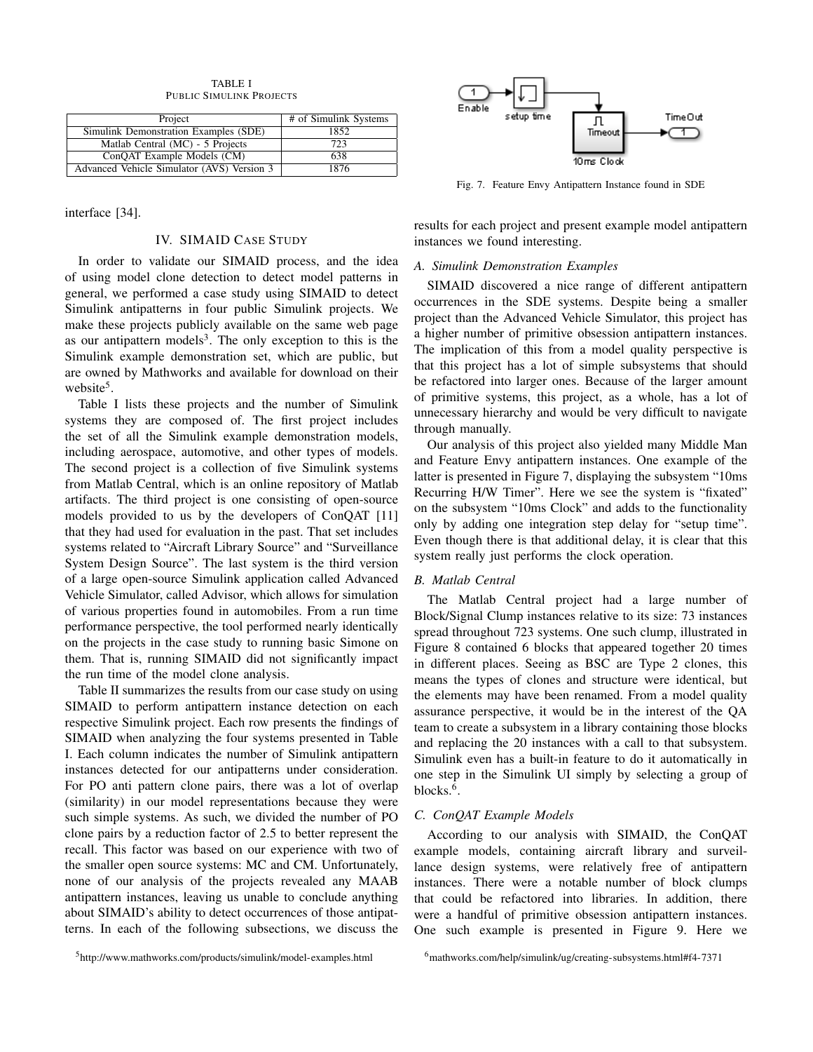| TABLE I                         |
|---------------------------------|
| <b>PUBLIC SIMULINK PROJECTS</b> |

| Project                                    | # of Simulink Systems |
|--------------------------------------------|-----------------------|
| Simulink Demonstration Examples (SDE)      | 1852                  |
| Matlab Central (MC) - 5 Projects           | 723                   |
| ConQAT Example Models (CM)                 | 638                   |
| Advanced Vehicle Simulator (AVS) Version 3 | 1876                  |

interface [34].

# IV. SIMAID CASE STUDY

In order to validate our SIMAID process, and the idea of using model clone detection to detect model patterns in general, we performed a case study using SIMAID to detect Simulink antipatterns in four public Simulink projects. We make these projects publicly available on the same web page as our antipattern models<sup>3</sup>. The only exception to this is the Simulink example demonstration set, which are public, but are owned by Mathworks and available for download on their website<sup>5</sup>.

Table I lists these projects and the number of Simulink systems they are composed of. The first project includes the set of all the Simulink example demonstration models, including aerospace, automotive, and other types of models. The second project is a collection of five Simulink systems from Matlab Central, which is an online repository of Matlab artifacts. The third project is one consisting of open-source models provided to us by the developers of ConQAT [11] that they had used for evaluation in the past. That set includes systems related to "Aircraft Library Source" and "Surveillance System Design Source". The last system is the third version of a large open-source Simulink application called Advanced Vehicle Simulator, called Advisor, which allows for simulation of various properties found in automobiles. From a run time performance perspective, the tool performed nearly identically on the projects in the case study to running basic Simone on them. That is, running SIMAID did not significantly impact the run time of the model clone analysis.

Table II summarizes the results from our case study on using SIMAID to perform antipattern instance detection on each respective Simulink project. Each row presents the findings of SIMAID when analyzing the four systems presented in Table I. Each column indicates the number of Simulink antipattern instances detected for our antipatterns under consideration. For PO anti pattern clone pairs, there was a lot of overlap (similarity) in our model representations because they were such simple systems. As such, we divided the number of PO clone pairs by a reduction factor of 2.5 to better represent the recall. This factor was based on our experience with two of the smaller open source systems: MC and CM. Unfortunately, none of our analysis of the projects revealed any MAAB antipattern instances, leaving us unable to conclude anything about SIMAID's ability to detect occurrences of those antipatterns. In each of the following subsections, we discuss the



Fig. 7. Feature Envy Antipattern Instance found in SDE

results for each project and present example model antipattern instances we found interesting.

#### *A. Simulink Demonstration Examples*

SIMAID discovered a nice range of different antipattern occurrences in the SDE systems. Despite being a smaller project than the Advanced Vehicle Simulator, this project has a higher number of primitive obsession antipattern instances. The implication of this from a model quality perspective is that this project has a lot of simple subsystems that should be refactored into larger ones. Because of the larger amount of primitive systems, this project, as a whole, has a lot of unnecessary hierarchy and would be very difficult to navigate through manually.

Our analysis of this project also yielded many Middle Man and Feature Envy antipattern instances. One example of the latter is presented in Figure 7, displaying the subsystem "10ms Recurring H/W Timer". Here we see the system is "fixated" on the subsystem "10ms Clock" and adds to the functionality only by adding one integration step delay for "setup time". Even though there is that additional delay, it is clear that this system really just performs the clock operation.

# *B. Matlab Central*

The Matlab Central project had a large number of Block/Signal Clump instances relative to its size: 73 instances spread throughout 723 systems. One such clump, illustrated in Figure 8 contained 6 blocks that appeared together 20 times in different places. Seeing as BSC are Type 2 clones, this means the types of clones and structure were identical, but the elements may have been renamed. From a model quality assurance perspective, it would be in the interest of the QA team to create a subsystem in a library containing those blocks and replacing the 20 instances with a call to that subsystem. Simulink even has a built-in feature to do it automatically in one step in the Simulink UI simply by selecting a group of blocks.<sup>6</sup>.

#### *C. ConQAT Example Models*

According to our analysis with SIMAID, the ConQAT example models, containing aircraft library and surveillance design systems, were relatively free of antipattern instances. There were a notable number of block clumps that could be refactored into libraries. In addition, there were a handful of primitive obsession antipattern instances. One such example is presented in Figure 9. Here we

<sup>5</sup>http://www.mathworks.com/products/simulink/model-examples.html

<sup>6</sup>mathworks.com/help/simulink/ug/creating-subsystems.html#f4-7371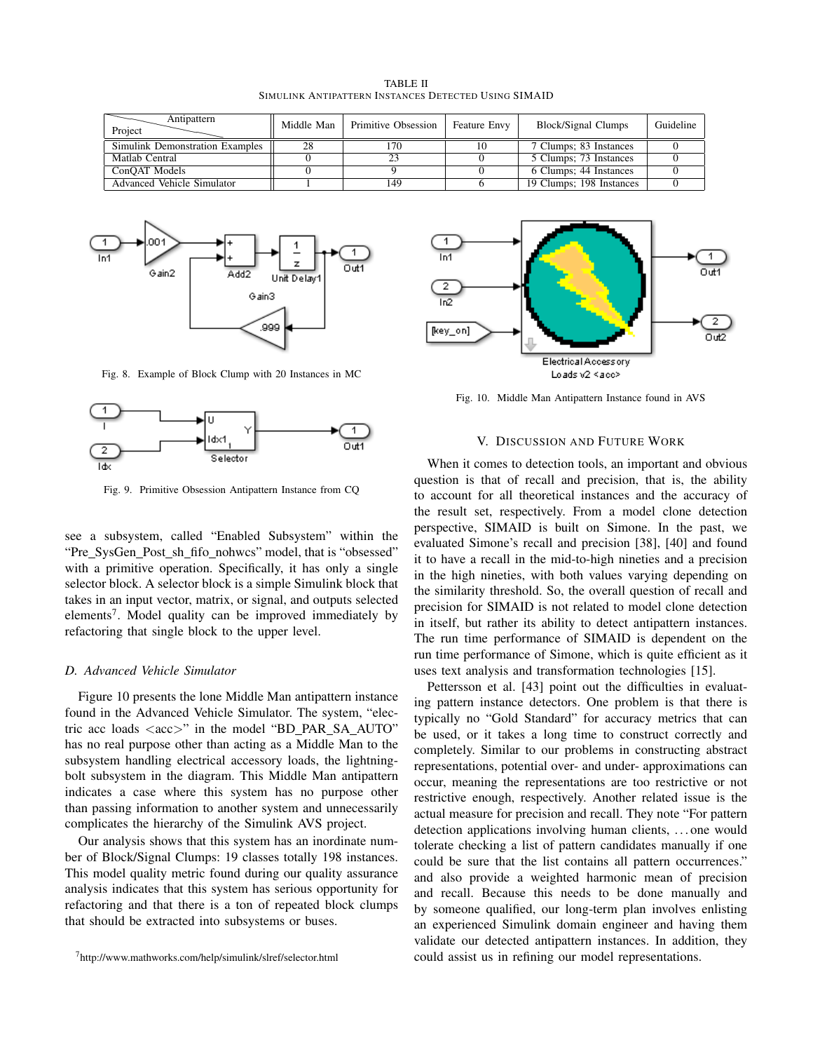TABLE II SIMULINK ANTIPATTERN INSTANCES DETECTED USING SIMAID

| Antipattern<br>Project                 | Middle Man | Primitive Obsession | Feature Envy | <b>Block/Signal Clumps</b> | Guideline |
|----------------------------------------|------------|---------------------|--------------|----------------------------|-----------|
| <b>Simulink Demonstration Examples</b> | 28         | 170                 | 10           | 7 Clumps; 83 Instances     |           |
| Matlab Central                         |            |                     |              | 5 Clumps; 73 Instances     |           |
| ConOAT Models                          |            |                     |              | 6 Clumps; 44 Instances     |           |
| Advanced Vehicle Simulator             |            | 149                 |              | 19 Clumps; 198 Instances   |           |



Fig. 8. Example of Block Clump with 20 Instances in MC



Fig. 9. Primitive Obsession Antipattern Instance from CQ

see a subsystem, called "Enabled Subsystem" within the "Pre SysGen Post sh fifo nohwcs" model, that is "obsessed" with a primitive operation. Specifically, it has only a single selector block. A selector block is a simple Simulink block that takes in an input vector, matrix, or signal, and outputs selected elements<sup>7</sup>. Model quality can be improved immediately by refactoring that single block to the upper level.

## *D. Advanced Vehicle Simulator*

Figure 10 presents the lone Middle Man antipattern instance found in the Advanced Vehicle Simulator. The system, "electric acc loads <acc>" in the model "BD\_PAR\_SA\_AUTO" has no real purpose other than acting as a Middle Man to the subsystem handling electrical accessory loads, the lightningbolt subsystem in the diagram. This Middle Man antipattern indicates a case where this system has no purpose other than passing information to another system and unnecessarily complicates the hierarchy of the Simulink AVS project.

Our analysis shows that this system has an inordinate number of Block/Signal Clumps: 19 classes totally 198 instances. This model quality metric found during our quality assurance analysis indicates that this system has serious opportunity for refactoring and that there is a ton of repeated block clumps that should be extracted into subsystems or buses.



Fig. 10. Middle Man Antipattern Instance found in AVS

#### V. DISCUSSION AND FUTURE WORK

When it comes to detection tools, an important and obvious question is that of recall and precision, that is, the ability to account for all theoretical instances and the accuracy of the result set, respectively. From a model clone detection perspective, SIMAID is built on Simone. In the past, we evaluated Simone's recall and precision [38], [40] and found it to have a recall in the mid-to-high nineties and a precision in the high nineties, with both values varying depending on the similarity threshold. So, the overall question of recall and precision for SIMAID is not related to model clone detection in itself, but rather its ability to detect antipattern instances. The run time performance of SIMAID is dependent on the run time performance of Simone, which is quite efficient as it uses text analysis and transformation technologies [15].

Pettersson et al. [43] point out the difficulties in evaluating pattern instance detectors. One problem is that there is typically no "Gold Standard" for accuracy metrics that can be used, or it takes a long time to construct correctly and completely. Similar to our problems in constructing abstract representations, potential over- and under- approximations can occur, meaning the representations are too restrictive or not restrictive enough, respectively. Another related issue is the actual measure for precision and recall. They note "For pattern detection applications involving human clients, . . . one would tolerate checking a list of pattern candidates manually if one could be sure that the list contains all pattern occurrences." and also provide a weighted harmonic mean of precision and recall. Because this needs to be done manually and by someone qualified, our long-term plan involves enlisting an experienced Simulink domain engineer and having them validate our detected antipattern instances. In addition, they could assist us in refining our model representations.

<sup>7</sup>http://www.mathworks.com/help/simulink/slref/selector.html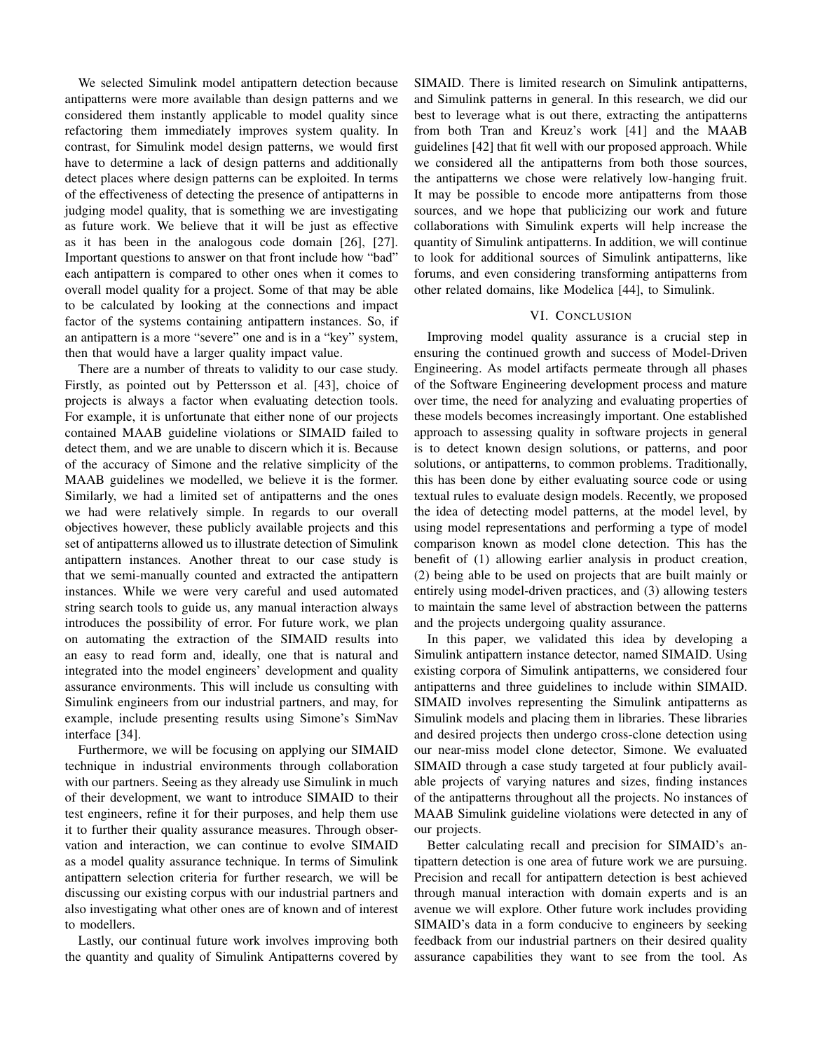We selected Simulink model antipattern detection because antipatterns were more available than design patterns and we considered them instantly applicable to model quality since refactoring them immediately improves system quality. In contrast, for Simulink model design patterns, we would first have to determine a lack of design patterns and additionally detect places where design patterns can be exploited. In terms of the effectiveness of detecting the presence of antipatterns in judging model quality, that is something we are investigating as future work. We believe that it will be just as effective as it has been in the analogous code domain [26], [27]. Important questions to answer on that front include how "bad" each antipattern is compared to other ones when it comes to overall model quality for a project. Some of that may be able to be calculated by looking at the connections and impact factor of the systems containing antipattern instances. So, if an antipattern is a more "severe" one and is in a "key" system, then that would have a larger quality impact value.

There are a number of threats to validity to our case study. Firstly, as pointed out by Pettersson et al. [43], choice of projects is always a factor when evaluating detection tools. For example, it is unfortunate that either none of our projects contained MAAB guideline violations or SIMAID failed to detect them, and we are unable to discern which it is. Because of the accuracy of Simone and the relative simplicity of the MAAB guidelines we modelled, we believe it is the former. Similarly, we had a limited set of antipatterns and the ones we had were relatively simple. In regards to our overall objectives however, these publicly available projects and this set of antipatterns allowed us to illustrate detection of Simulink antipattern instances. Another threat to our case study is that we semi-manually counted and extracted the antipattern instances. While we were very careful and used automated string search tools to guide us, any manual interaction always introduces the possibility of error. For future work, we plan on automating the extraction of the SIMAID results into an easy to read form and, ideally, one that is natural and integrated into the model engineers' development and quality assurance environments. This will include us consulting with Simulink engineers from our industrial partners, and may, for example, include presenting results using Simone's SimNav interface [34].

Furthermore, we will be focusing on applying our SIMAID technique in industrial environments through collaboration with our partners. Seeing as they already use Simulink in much of their development, we want to introduce SIMAID to their test engineers, refine it for their purposes, and help them use it to further their quality assurance measures. Through observation and interaction, we can continue to evolve SIMAID as a model quality assurance technique. In terms of Simulink antipattern selection criteria for further research, we will be discussing our existing corpus with our industrial partners and also investigating what other ones are of known and of interest to modellers.

Lastly, our continual future work involves improving both the quantity and quality of Simulink Antipatterns covered by SIMAID. There is limited research on Simulink antipatterns, and Simulink patterns in general. In this research, we did our best to leverage what is out there, extracting the antipatterns from both Tran and Kreuz's work [41] and the MAAB guidelines [42] that fit well with our proposed approach. While we considered all the antipatterns from both those sources, the antipatterns we chose were relatively low-hanging fruit. It may be possible to encode more antipatterns from those sources, and we hope that publicizing our work and future collaborations with Simulink experts will help increase the quantity of Simulink antipatterns. In addition, we will continue to look for additional sources of Simulink antipatterns, like forums, and even considering transforming antipatterns from other related domains, like Modelica [44], to Simulink.

## VI. CONCLUSION

Improving model quality assurance is a crucial step in ensuring the continued growth and success of Model-Driven Engineering. As model artifacts permeate through all phases of the Software Engineering development process and mature over time, the need for analyzing and evaluating properties of these models becomes increasingly important. One established approach to assessing quality in software projects in general is to detect known design solutions, or patterns, and poor solutions, or antipatterns, to common problems. Traditionally, this has been done by either evaluating source code or using textual rules to evaluate design models. Recently, we proposed the idea of detecting model patterns, at the model level, by using model representations and performing a type of model comparison known as model clone detection. This has the benefit of (1) allowing earlier analysis in product creation, (2) being able to be used on projects that are built mainly or entirely using model-driven practices, and (3) allowing testers to maintain the same level of abstraction between the patterns and the projects undergoing quality assurance.

In this paper, we validated this idea by developing a Simulink antipattern instance detector, named SIMAID. Using existing corpora of Simulink antipatterns, we considered four antipatterns and three guidelines to include within SIMAID. SIMAID involves representing the Simulink antipatterns as Simulink models and placing them in libraries. These libraries and desired projects then undergo cross-clone detection using our near-miss model clone detector, Simone. We evaluated SIMAID through a case study targeted at four publicly available projects of varying natures and sizes, finding instances of the antipatterns throughout all the projects. No instances of MAAB Simulink guideline violations were detected in any of our projects.

Better calculating recall and precision for SIMAID's antipattern detection is one area of future work we are pursuing. Precision and recall for antipattern detection is best achieved through manual interaction with domain experts and is an avenue we will explore. Other future work includes providing SIMAID's data in a form conducive to engineers by seeking feedback from our industrial partners on their desired quality assurance capabilities they want to see from the tool. As